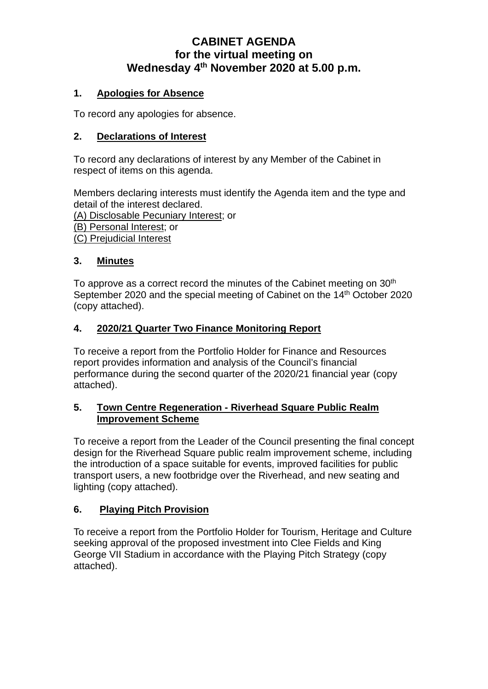# **CABINET AGENDA for the virtual meeting on Wednesday 4th November 2020 at 5.00 p.m.**

### **1. Apologies for Absence**

To record any apologies for absence.

### **2. Declarations of Interest**

To record any declarations of interest by any Member of the Cabinet in respect of items on this agenda.

Members declaring interests must identify the Agenda item and the type and detail of the interest declared. (A) Disclosable Pecuniary Interest; or

(B) Personal Interest; or

(C) Prejudicial Interest

### **3. Minutes**

To approve as a correct record the minutes of the Cabinet meeting on 30<sup>th</sup> September 2020 and the special meeting of Cabinet on the 14<sup>th</sup> October 2020 (copy attached).

### **4. 2020/21 Quarter Two Finance Monitoring Report**

To receive a report from the Portfolio Holder for Finance and Resources report provides information and analysis of the Council's financial performance during the second quarter of the 2020/21 financial year (copy attached).

### **5. Town Centre Regeneration - Riverhead Square Public Realm Improvement Scheme**

To receive a report from the Leader of the Council presenting the final concept design for the Riverhead Square public realm improvement scheme, including the introduction of a space suitable for events, improved facilities for public transport users, a new footbridge over the Riverhead, and new seating and lighting (copy attached).

### **6. Playing Pitch Provision**

To receive a report from the Portfolio Holder for Tourism, Heritage and Culture seeking approval of the proposed investment into Clee Fields and King George VII Stadium in accordance with the Playing Pitch Strategy (copy attached).